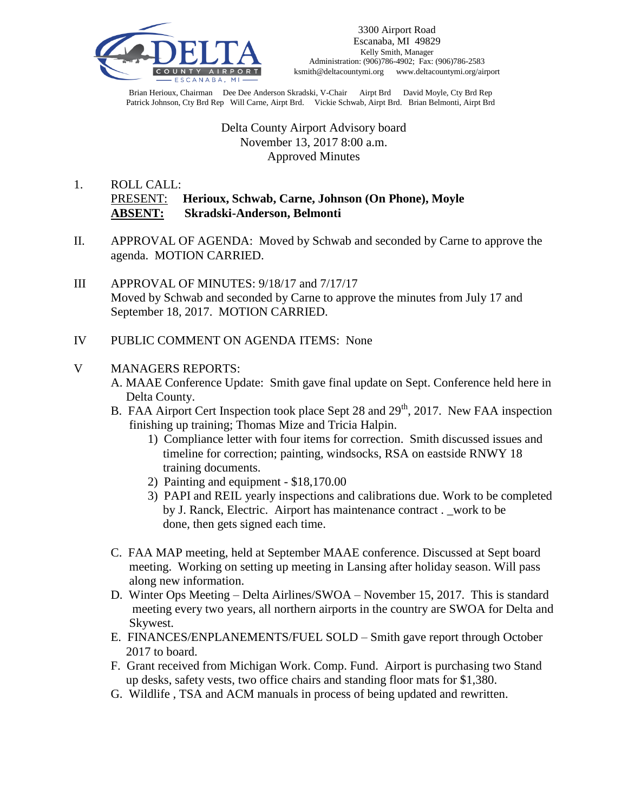

Brian Herioux, Chairman Dee Dee Anderson Skradski, V-Chair Airpt Brd David Moyle, Cty Brd Rep Patrick Johnson, Cty Brd Rep Will Carne, Airpt Brd. Vickie Schwab, Airpt Brd. Brian Belmonti, Airpt Brd

## Delta County Airport Advisory board November 13, 2017 8:00 a.m. Approved Minutes

# 1. ROLL CALL: PRESENT: **Herioux, Schwab, Carne, Johnson (On Phone), Moyle ABSENT: Skradski-Anderson, Belmonti**

- II. APPROVAL OF AGENDA: Moved by Schwab and seconded by Carne to approve the agenda. MOTION CARRIED.
- III APPROVAL OF MINUTES: 9/18/17 and 7/17/17 Moved by Schwab and seconded by Carne to approve the minutes from July 17 and September 18, 2017. MOTION CARRIED.
- IV PUBLIC COMMENT ON AGENDA ITEMS: None

## V MANAGERS REPORTS:

- A. MAAE Conference Update: Smith gave final update on Sept. Conference held here in Delta County.
- B. FAA Airport Cert Inspection took place Sept 28 and 29<sup>th</sup>, 2017. New FAA inspection finishing up training; Thomas Mize and Tricia Halpin.
	- 1) Compliance letter with four items for correction. Smith discussed issues and timeline for correction; painting, windsocks, RSA on eastside RNWY 18 training documents.
	- 2) Painting and equipment \$18,170.00
	- 3) PAPI and REIL yearly inspections and calibrations due. Work to be completed by J. Ranck, Electric. Airport has maintenance contract . \_work to be done, then gets signed each time.
- C. FAA MAP meeting, held at September MAAE conference. Discussed at Sept board meeting. Working on setting up meeting in Lansing after holiday season. Will pass along new information.
- D. Winter Ops Meeting Delta Airlines/SWOA November 15, 2017. This is standard meeting every two years, all northern airports in the country are SWOA for Delta and Skywest.
- E. FINANCES/ENPLANEMENTS/FUEL SOLD Smith gave report through October 2017 to board.
- F. Grant received from Michigan Work. Comp. Fund. Airport is purchasing two Stand up desks, safety vests, two office chairs and standing floor mats for \$1,380.
- G. Wildlife , TSA and ACM manuals in process of being updated and rewritten.